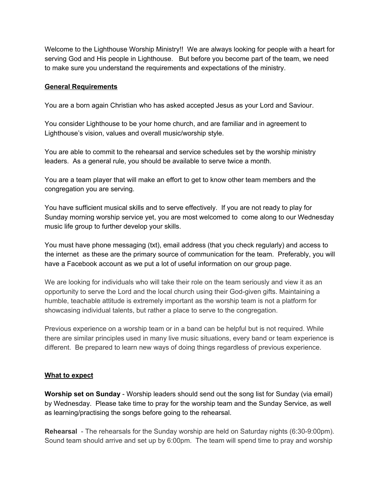Welcome to the Lighthouse Worship Ministry!! We are always looking for people with a heart for serving God and His people in Lighthouse. But before you become part of the team, we need to make sure you understand the requirements and expectations of the ministry.

## **General Requirements**

You are a born again Christian who has asked accepted Jesus as your Lord and Saviour.

You consider Lighthouse to be your home church, and are familiar and in agreement to Lighthouse's vision, values and overall music/worship style.

You are able to commit to the rehearsal and service schedules set by the worship ministry leaders. As a general rule, you should be available to serve twice a month.

You are a team player that will make an effort to get to know other team members and the congregation you are serving.

You have sufficient musical skills and to serve effectively. If you are not ready to play for Sunday morning worship service yet, you are most welcomed to come along to our Wednesday music life group to further develop your skills.

You must have phone messaging (txt), email address (that you check regularly) and access to the internet as these are the primary source of communication for the team. Preferably, you will have a Facebook account as we put a lot of useful information on our group page.

We are looking for individuals who will take their role on the team seriously and view it as an opportunity to serve the Lord and the local church using their God-given gifts. Maintaining a humble, teachable attitude is extremely important as the worship team is not a platform for showcasing individual talents, but rather a place to serve to the congregation.

Previous experience on a worship team or in a band can be helpful but is not required. While there are similar principles used in many live music situations, every band or team experience is different. Be prepared to learn new ways of doing things regardless of previous experience.

## **What to expect**

**Worship set on Sunday** - Worship leaders should send out the song list for Sunday (via email) by Wednesday. Please take time to pray for the worship team and the Sunday Service, as well as learning/practising the songs before going to the rehearsal.

**Rehearsal** - The rehearsals for the Sunday worship are held on Saturday nights (6:30-9:00pm). Sound team should arrive and set up by 6:00pm. The team will spend time to pray and worship